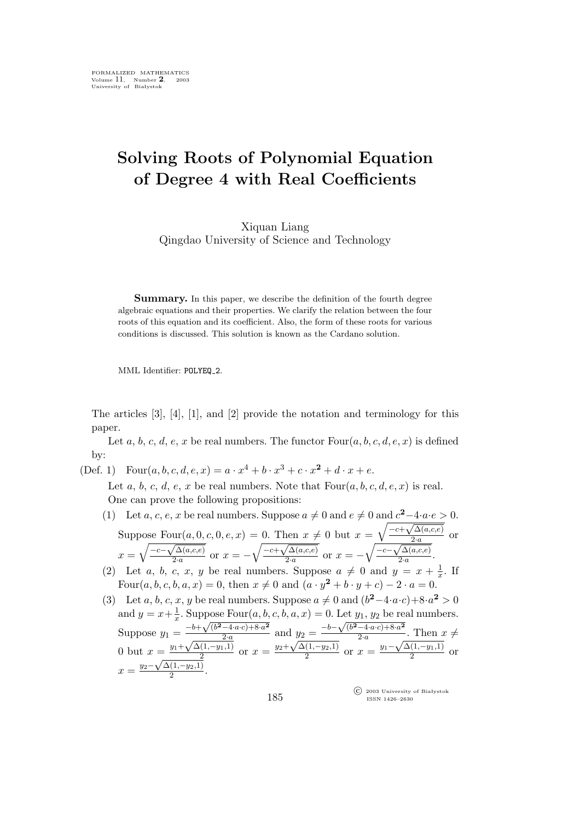## **Solving Roots of Polynomial Equation of Degree 4 with Real Coefficients**

Xiquan Liang Qingdao University of Science and Technology

**Summary.** In this paper, we describe the definition of the fourth degree algebraic equations and their properties. We clarify the relation between the four roots of this equation and its coefficient. Also, the form of these roots for various conditions is discussed. This solution is known as the Cardano solution.

MML Identifier: POLYEQ 2.

The articles [3], [4], [1], and [2] provide the notation and terminology for this paper.

Let  $a, b, c, d, e, x$  be real numbers. The functor  $Four(a, b, c, d, e, x)$  is defined by:

(Def. 1) Four $(a, b, c, d, e, x) = a \cdot x^4 + b \cdot x^3 + c \cdot x^2 + d \cdot x + e$ . Let a, b, c, d, e, x be real numbers. Note that  $Four(a, b, c, d, e, x)$  is real.

One can prove the following propositions:

- (1) Let a, c, e, x be real numbers. Suppose  $a \neq 0$  and  $e \neq 0$  and  $c^2-4 \cdot a \cdot e > 0$ . Suppose  $Four(a, 0, c, 0, e, x) = 0$ . Then  $x \neq 0$  but  $x = \sqrt{\frac{-c + \sqrt{\Delta(a, c, e)}}{2 \cdot a}}$  $\frac{a^{(a,c,e)}}{2a}$  or  $x = \sqrt{\frac{-c-\sqrt{\Delta(a,c,e)}}{2a}}$  $\sqrt{\frac{\Delta(a,c,e)}{2\cdot a}}$  or  $x = -\sqrt{\frac{-c+\sqrt{\Delta(a,c,e)}}{2\cdot a}}$  $\sqrt{\frac{\Delta(a,c,e)}{2\cdot a}}$  or  $x = -\sqrt{\frac{-c-\sqrt{\Delta(a,c,e)}}{2\cdot a}}$  $\frac{a^{(a,c,e)}}{2a}$ .
- (2) Let a, b, c, x, y be real numbers. Suppose  $a \neq 0$  and  $y = x + \frac{1}{x}$ . If Four $(a, b, c, b, a, x) = 0$ , then  $x \neq 0$  and  $(a \cdot y^2 + b \cdot y + c) - 2 \cdot a = 0$ .
- (3) Let a, b, c, x, y be real numbers. Suppose  $a \neq 0$  and  $(b^2-4 \cdot a \cdot c)+8 \cdot a^2 > 0$ and  $y = x + \frac{1}{x}$  $\frac{1}{x}$ . Suppose Four $(a, b, c, b, a, x) = 0$ . Let  $y_1, y_2$  be real numbers. Suppose  $y_1 = \frac{-b + \sqrt{(b^2 - 4 \cdot a \cdot c) + 8 \cdot a^2}}{2 \cdot a}$  $\frac{-4 \cdot a \cdot c + 8 \cdot a^2}{2 \cdot a}$  and  $y_2 = \frac{-b - \sqrt{(b^2 - 4 \cdot a \cdot c) + 8 \cdot a^2}}{2 \cdot a}$  $\frac{a-a\cdot a\cdot c + \sigma\cdot a}{2\cdot a}$ . Then  $x \neq$ 0 but  $x = \frac{y_1 + \sqrt{\Delta(1, -y_1, 1)}}{2}$  $\frac{y_2-a}{(1,-y_1,1)}$  or  $x = \frac{y_2+\sqrt{\Delta(1,-y_2,1)}}{2}$  $\frac{(1,-y_2,1)}{2}$  or  $x = \frac{y_1 - \sqrt{\Delta(1,-y_1,1)}}{2}$  $\frac{1}{2}$  or  $x = \frac{y_2 - \sqrt{\Delta(1, -y_2, 1)}}{2}$  $rac{(1,-y_2,1)}{2}$ .

°c 2003 University of Białystok ISSN 1426–2630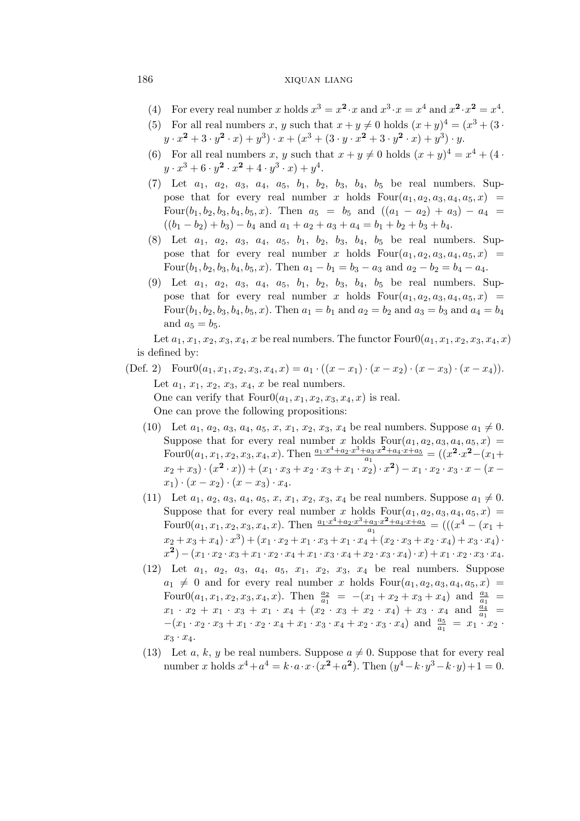## 186 xiquan liang

- (4) For every real number x holds  $x^3 = x^2 \cdot x$  and  $x^3 \cdot x = x^4$  and  $x^2 \cdot x^2 = x^4$ .
- (5) For all real numbers x, y such that  $x + y \neq 0$  holds  $(x + y)^4 = (x^3 + (3 \cdot$  $y \cdot x^2 + 3 \cdot y^2 \cdot x + (x^3 + (3 \cdot y \cdot x^2 + 3 \cdot y^2 \cdot x) + y^3) \cdot y$ .
- (6) For all real numbers x, y such that  $x + y \neq 0$  holds  $(x + y)^4 = x^4 + (4 \cdot$  $y \cdot x^3 + 6 \cdot y^2 \cdot x^2 + 4 \cdot y^3 \cdot x + y^4.$
- (7) Let  $a_1$ ,  $a_2$ ,  $a_3$ ,  $a_4$ ,  $a_5$ ,  $b_1$ ,  $b_2$ ,  $b_3$ ,  $b_4$ ,  $b_5$  be real numbers. Suppose that for every real number x holds  $Four(a_1, a_2, a_3, a_4, a_5, x) =$ Four( $b_1, b_2, b_3, b_4, b_5, x$ ). Then  $a_5 = b_5$  and  $((a_1 - a_2) + a_3) - a_4 =$  $((b_1 - b_2) + b_3) - b_4$  and  $a_1 + a_2 + a_3 + a_4 = b_1 + b_2 + b_3 + b_4$ .
- (8) Let  $a_1$ ,  $a_2$ ,  $a_3$ ,  $a_4$ ,  $a_5$ ,  $b_1$ ,  $b_2$ ,  $b_3$ ,  $b_4$ ,  $b_5$  be real numbers. Suppose that for every real number x holds  $Four(a_1, a_2, a_3, a_4, a_5, x)$  = Four( $b_1, b_2, b_3, b_4, b_5, x$ ). Then  $a_1 - b_1 = b_3 - a_3$  and  $a_2 - b_2 = b_4 - a_4$ .
- (9) Let  $a_1$ ,  $a_2$ ,  $a_3$ ,  $a_4$ ,  $a_5$ ,  $b_1$ ,  $b_2$ ,  $b_3$ ,  $b_4$ ,  $b_5$  be real numbers. Suppose that for every real number x holds  $Four(a_1, a_2, a_3, a_4, a_5, x)$ Four $(b_1, b_2, b_3, b_4, b_5, x)$ . Then  $a_1 = b_1$  and  $a_2 = b_2$  and  $a_3 = b_3$  and  $a_4 = b_4$ and  $a_5 = b_5$ .

Let  $a_1, x_1, x_2, x_3, x_4, x$  be real numbers. The functor  $Four0(a_1, x_1, x_2, x_3, x_4, x)$ is defined by:

(Def. 2) Four $0(a_1, x_1, x_2, x_3, x_4, x) = a_1 \cdot ((x - x_1) \cdot (x - x_2) \cdot (x - x_3) \cdot (x - x_4)).$ Let  $a_1, x_1, x_2, x_3, x_4, x$  be real numbers. One can verify that  $Four0(a_1, x_1, x_2, x_3, x_4, x)$  is real. One can prove the following propositions:

- (10) Let  $a_1, a_2, a_3, a_4, a_5, x, x_1, x_2, x_3, x_4$  be real numbers. Suppose  $a_1 \neq 0$ . Suppose that for every real number x holds  $Four(a_1, a_2, a_3, a_4, a_5, x) =$ Four0( $a_1, x_1, x_2, x_3, x_4, x$ ). Then  $\frac{a_1 \cdot x^4 + a_2 \cdot x^3 + a_3 \cdot x^2 + a_4 \cdot x + a_5}{a_1}$  $\frac{a_3 \cdot x^2 + a_4 \cdot x + a_5}{a_1} = ((x^2 \cdot x^2 - (x_1 +$  $(x_2 + x_3) \cdot (x_2 \cdot x_1) + (x_1 \cdot x_3 + x_2 \cdot x_3 + x_1 \cdot x_2) \cdot x_2 - x_1 \cdot x_2 \cdot x_3 \cdot x - (x - x_1) \cdot x_1 + x_2 \cdot x_3 \cdot x_1 + x_3 \cdot x_2 + x_4 \cdot x_3 + x_4 \cdot x_4$  $x_1) \cdot (x - x_2) \cdot (x - x_3) \cdot x_4.$
- (11) Let  $a_1, a_2, a_3, a_4, a_5, x, x_1, x_2, x_3, x_4$  be real numbers. Suppose  $a_1 \neq 0$ . Suppose that for every real number x holds  $Four(a_1, a_2, a_3, a_4, a_5, x) =$ Four0( $a_1, x_1, x_2, x_3, x_4, x$ ). Then  $\frac{a_1 \cdot x^4 + a_2 \cdot x^3 + a_3 \cdot x^2 + a_4 \cdot x + a_5}{a_1}$  $\frac{a_3 \cdot x^2 + a_4 \cdot x + a_5}{a_1} = (((x^4 - (x_1 +$  $(x_2 + x_3 + x_4) \cdot x^3 + (x_1 \cdot x_2 + x_1 \cdot x_3 + x_1 \cdot x_4 + (x_2 \cdot x_3 + x_2 \cdot x_4) + x_3 \cdot x_4) \cdot$  $(x^2) - (x_1 \cdot x_2 \cdot x_3 + x_1 \cdot x_2 \cdot x_4 + x_1 \cdot x_3 \cdot x_4 + x_2 \cdot x_3 \cdot x_4) \cdot x) + x_1 \cdot x_2 \cdot x_3 \cdot x_4.$
- (12) Let  $a_1$ ,  $a_2$ ,  $a_3$ ,  $a_4$ ,  $a_5$ ,  $x_1$ ,  $x_2$ ,  $x_3$ ,  $x_4$  be real numbers. Suppose  $a_1 \neq 0$  and for every real number x holds  $Four(a_1, a_2, a_3, a_4, a_5, x)$ Four0( $a_1, x_1, x_2, x_3, x_4, x$ ). Then  $\frac{a_2}{a_1} = -(x_1 + x_2 + x_3 + x_4)$  and  $\frac{a_3}{a_1}$  $x_1 \cdot x_2 + x_1 \cdot x_3 + x_1 \cdot x_4 + (x_2 \cdot x_3 + x_2 \cdot x_4) + x_3 \cdot x_4$  and  $\frac{a_4}{a_1} =$  $-(x_1 \cdot x_2 \cdot x_3 + x_1 \cdot x_2 \cdot x_4 + x_1 \cdot x_3 \cdot x_4 + x_2 \cdot x_3 \cdot x_4)$  and  $\frac{a_5}{a_1} = x_1 \cdot x_2$ .  $x_3 \cdot x_4$ .
- (13) Let a, k, y be real numbers. Suppose  $a \neq 0$ . Suppose that for every real number x holds  $x^4 + a^4 = k \cdot a \cdot x \cdot (x^2 + a^2)$ . Then  $(y^4 - k \cdot y^3 - k \cdot y) + 1 = 0$ .